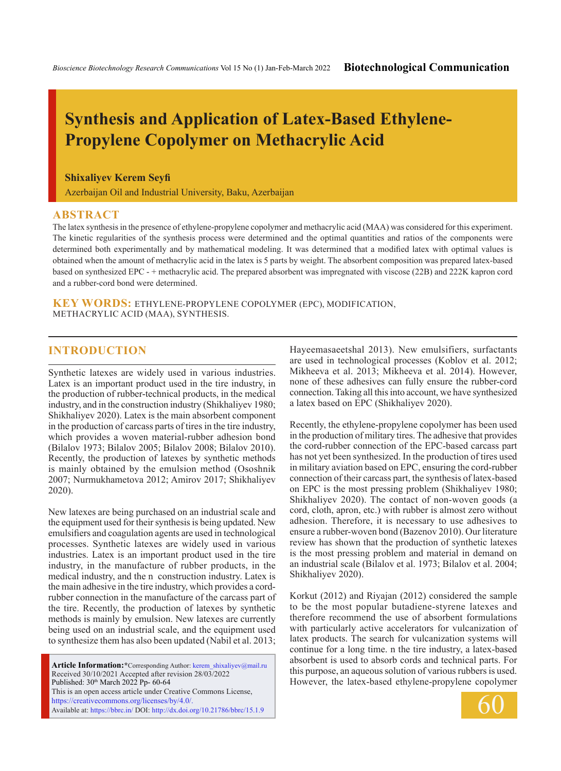# **Synthesis and Application of Latex-Based Ethylene-Propylene Copolymer on Methacrylic Acid**

#### **Shixaliyev Kerem Seyfi**

Azerbaijan Oil and Industrial University, Baku, Azerbaijan

#### **ABSTRACT**

The latex synthesis in the presence of ethylene-propylene copolymer and methacrylic acid (MAA) was considered for this experiment. The kinetic regularities of the synthesis process were determined and the optimal quantities and ratios of the components were determined both experimentally and by mathematical modeling. It was determined that a modified latex with optimal values is obtained when the amount of methacrylic acid in the latex is 5 parts by weight. The absorbent composition was prepared latex-based based on synthesized EPC - + methacrylic acid. The prepared absorbent was impregnated with viscose (22B) and 222K kapron cord and a rubber-cord bond were determined.

**KEY WORDS:** ethylene-propylene copolymer (EPC), modification, methacrylic acid (MAA), synthesis.

# **INTRODUCTION**

Synthetic latexes are widely used in various industries. Latex is an important product used in the tire industry, in the production of rubber-technical products, in the medical industry, and in the construction industry (Shikhaliyev 1980; Shikhaliyev 2020). Latex is the main absorbent component in the production of carcass parts of tires in the tire industry, which provides a woven material-rubber adhesion bond (Bilalov 1973; Bilalov 2005; Bilalov 2008; Bilalov 2010). Recently, the production of latexes by synthetic methods is mainly obtained by the emulsion method (Ososhnik 2007; Nurmukhametova 2012; Amirov 2017; Shikhaliyev 2020).

New latexes are being purchased on an industrial scale and the equipment used for their synthesis is being updated. New emulsifiers and coagulation agents are used in technological processes. Synthetic latexes are widely used in various industries. Latex is an important product used in the tire industry, in the manufacture of rubber products, in the medical industry, and the n construction industry. Latex is the main adhesive in the tire industry, which provides a cordrubber connection in the manufacture of the carcass part of the tire. Recently, the production of latexes by synthetic methods is mainly by emulsion. New latexes are currently being used on an industrial scale, and the equipment used to synthesize them has also been updated (Nabil et al. 2013;

Article Information:\*Corresponding Author: kerem\_shixaliyev@mail.ru Received 30/10/2021 Accepted after revision 28/03/2022 Published: 30<sup>th</sup> March 2022 Pp- 60-64 This is an open access article under Creative Commons License, https://creativecommons.org/licenses/by/4.0/. Available at: https://bbrc.in/ DOI: http://dx.doi.org/10.21786/bbrc/15.1.9

Hayeemasaeetshal 2013). New emulsifiers, surfactants are used in technological processes (Koblov et al. 2012; Mikheeva et al. 2013; Mikheeva et al. 2014). However, none of these adhesives can fully ensure the rubber-cord connection. Taking all this into account, we have synthesized a latex based on EPC (Shikhaliyev 2020).

Recently, the ethylene-propylene copolymer has been used in the production of military tires. The adhesive that provides the cord-rubber connection of the EPC-based carcass part has not yet been synthesized. In the production of tires used in military aviation based on EPC, ensuring the cord-rubber connection of their carcass part, the synthesis of latex-based on EPC is the most pressing problem (Shikhaliyev 1980; Shikhaliyev 2020). The contact of non-woven goods (a cord, cloth, apron, etc.) with rubber is almost zero without adhesion. Therefore, it is necessary to use adhesives to ensure a rubber-woven bond (Bazenov 2010). Our literature review has shown that the production of synthetic latexes is the most pressing problem and material in demand on an industrial scale (Bilalov et al. 1973; Bilalov et al. 2004; Shikhaliyev 2020).

Korkut (2012) and Riyajan (2012) considered the sample to be the most popular butadiene-styrene latexes and therefore recommend the use of absorbent formulations with particularly active accelerators for vulcanization of latex products. The search for vulcanization systems will continue for a long time. n the tire industry, a latex-based absorbent is used to absorb cords and technical parts. For this purpose, an aqueous solution of various rubbers is used. However, the latex-based ethylene-propylene copolymer

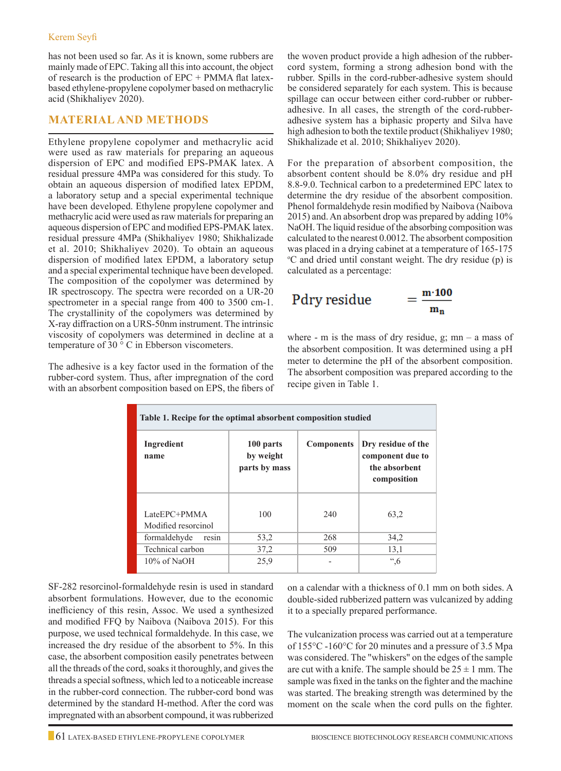has not been used so far. As it is known, some rubbers are mainly made of EPC. Taking all this into account, the object of research is the production of EPC + PMMA flat latexbased ethylene-propylene copolymer based on methacrylic acid (Shikhaliyev 2020).

## **Material and Methods**

Ethylene propylene copolymer and methacrylic acid were used as raw materials for preparing an aqueous dispersion of EPC and modified EPS-PMAK latex. A residual pressure 4MPa was considered for this study. To obtain an aqueous dispersion of modified latex EPDM, a laboratory setup and a special experimental technique have been developed. Ethylene propylene copolymer and methacrylic acid were used as raw materials for preparing an aqueous dispersion of EPC and modified EPS-PMAK latex. residual pressure 4MPa (Shikhaliyev 1980; Shikhalizade et al. 2010; Shikhaliyev 2020). To obtain an aqueous dispersion of modified latex EPDM, a laboratory setup and a special experimental technique have been developed. The composition of the copolymer was determined by IR spectroscopy. The spectra were recorded on a UR-20 spectrometer in a special range from 400 to 3500 cm-1. The crystallinity of the copolymers was determined by X-ray diffraction on a URS-50nm instrument. The intrinsic viscosity of copolymers was determined in decline at a temperature of 30 ° C in Ebberson viscometers.

The adhesive is a key factor used in the formation of the rubber-cord system. Thus, after impregnation of the cord with an absorbent composition based on EPS, the fibers of the woven product provide a high adhesion of the rubbercord system, forming a strong adhesion bond with the rubber. Spills in the cord-rubber-adhesive system should be considered separately for each system. This is because spillage can occur between either cord-rubber or rubberadhesive. In all cases, the strength of the cord-rubberadhesive system has a biphasic property and Silva have high adhesion to both the textile product (Shikhaliyev 1980; Shikhalizade et al. 2010; Shikhaliyev 2020).

For the preparation of absorbent composition, the absorbent content should be 8.0% dry residue and pH 8.8-9.0. Technical carbon to a predetermined EPC latex to determine the dry residue of the absorbent composition. Phenol formaldehyde resin modified by Naibova (Naibova 2015) and. An absorbent drop was prepared by adding 10% NaOH. The liquid residue of the absorbing composition was calculated to the nearest 0.0012. The absorbent composition was placed in a drying cabinet at a temperature of 165-175 <sup>o</sup>C and dried until constant weight. The dry residue (p) is calculated as a percentage:

$$
Pdry residue = \frac{m \cdot 100}{m_n}
$$

where - m is the mass of dry residue,  $g$ ; mn – a mass of the absorbent composition. It was determined using a pH meter to determine the pH of the absorbent composition. The absorbent composition was prepared according to the recipe given in Table 1.

| Table 1. Recipe for the optimal absorbent composition studied |                                         |                   |                                                                        |  |  |
|---------------------------------------------------------------|-----------------------------------------|-------------------|------------------------------------------------------------------------|--|--|
| Ingredient<br>name                                            | 100 parts<br>by weight<br>parts by mass | <b>Components</b> | Dry residue of the<br>component due to<br>the absorbent<br>composition |  |  |
| LateEPC+PMMA<br>Modified resorcinol                           | 100                                     | 240               | 63,2                                                                   |  |  |
| formaldehyde<br>resin                                         | 53,2                                    | 268               | 34,2                                                                   |  |  |
| Technical carbon                                              | 37,2                                    | 509               | 13,1                                                                   |  |  |
| $10\%$ of NaOH                                                | 25,9                                    |                   | ",6                                                                    |  |  |

SF-282 resorcinol-formaldehyde resin is used in standard absorbent formulations. However, due to the economic inefficiency of this resin, Assoc. We used a synthesized and modified FFQ by Naibova (Naibova 2015). For this purpose, we used technical formaldehyde. In this case, we increased the dry residue of the absorbent to 5%. In this case, the absorbent composition easily penetrates between all the threads of the cord, soaks it thoroughly, and gives the threads a special softness, which led to a noticeable increase in the rubber-cord connection. The rubber-cord bond was determined by the standard H-method. After the cord was impregnated with an absorbent compound, it was rubberized

on a calendar with a thickness of 0.1 mm on both sides. A double-sided rubberized pattern was vulcanized by adding it to a specially prepared performance.

The vulcanization process was carried out at a temperature of 155°C -160°C for 20 minutes and a pressure of 3.5 Mpa was considered. The "whiskers" on the edges of the sample are cut with a knife. The sample should be  $25 \pm 1$  mm. The sample was fixed in the tanks on the fighter and the machine was started. The breaking strength was determined by the moment on the scale when the cord pulls on the fighter.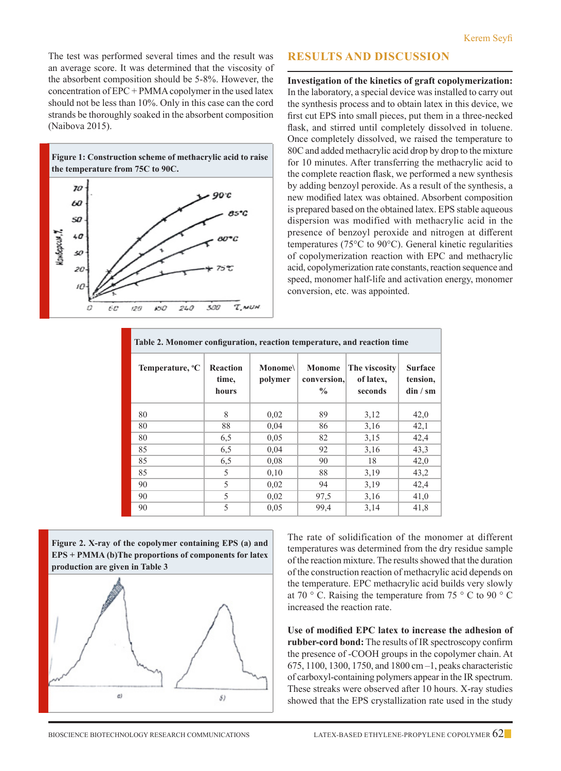The test was performed several times and the result was an average score. It was determined that the viscosity of the absorbent composition should be 5-8%. However, the concentration of EPC + PMMA copolymer in the used latex should not be less than 10%. Only in this case can the cord strands be thoroughly soaked in the absorbent composition (Naibova 2015).



## **Results and Discussion**

**Investigation of the kinetics of graft copolymerization:** In the laboratory, a special device was installed to carry out the synthesis process and to obtain latex in this device, we first cut EPS into small pieces, put them in a three-necked flask, and stirred until completely dissolved in toluene. Once completely dissolved, we raised the temperature to 80C and added methacrylic acid drop by drop to the mixture for 10 minutes. After transferring the methacrylic acid to the complete reaction flask, we performed a new synthesis by adding benzoyl peroxide. As a result of the synthesis, a new modified latex was obtained. Absorbent composition is prepared based on the obtained latex. EPS stable aqueous dispersion was modified with methacrylic acid in the presence of benzoyl peroxide and nitrogen at different temperatures (75°C to 90°C). General kinetic regularities of copolymerization reaction with EPC and methacrylic acid, copolymerization rate constants, reaction sequence and speed, monomer half-life and activation energy, monomer conversion, etc. was appointed.

| Table 2. Monomer configuration, reaction temperature, and reaction time |                            |                          |                                        |                                       |                                           |
|-------------------------------------------------------------------------|----------------------------|--------------------------|----------------------------------------|---------------------------------------|-------------------------------------------|
| Temperature, <sup>o</sup> C                                             | Reaction<br>time,<br>hours | <b>Monome</b><br>polymer | Monome<br>conversion,<br>$\frac{0}{0}$ | The viscosity<br>of latex.<br>seconds | <b>Surface</b><br>tension,<br>$\dim / sm$ |
| 80                                                                      | 8                          | 0,02                     | 89                                     | 3,12                                  | 42,0                                      |
| 80                                                                      | 88                         | 0,04                     | 86                                     | 3,16                                  | 42,1                                      |
| 80                                                                      | 6,5                        | 0.05                     | 82                                     | 3,15                                  | 42,4                                      |
| 85                                                                      | 6,5                        | 0,04                     | 92                                     | 3,16                                  | 43,3                                      |
| 85                                                                      | 6,5                        | 0.08                     | 90                                     | 18                                    | 42,0                                      |
| 85                                                                      | 5                          | 0,10                     | 88                                     | 3,19                                  | 43,2                                      |
| 90                                                                      | 5                          | 0,02                     | 94                                     | 3,19                                  | 42,4                                      |
| 90                                                                      | 5                          | 0,02                     | 97,5                                   | 3,16                                  | 41,0                                      |
| 90                                                                      | 5                          | 0.05                     | 99,4                                   | 3,14                                  | 41,8                                      |



The rate of solidification of the monomer at different temperatures was determined from the dry residue sample of the reaction mixture. The results showed that the duration of the construction reaction of methacrylic acid depends on the temperature. EPC methacrylic acid builds very slowly at 70  $\degree$  C. Raising the temperature from 75  $\degree$  C to 90  $\degree$  C increased the reaction rate.

**Use of modified EPC latex to increase the adhesion of rubber-cord bond:** The results of IR spectroscopy confirm the presence of -COOH groups in the copolymer chain. At 675, 1100, 1300, 1750, and 1800 cm –1, peaks characteristic of carboxyl-containing polymers appear in the IR spectrum. These streaks were observed after 10 hours. X-ray studies showed that the EPS crystallization rate used in the study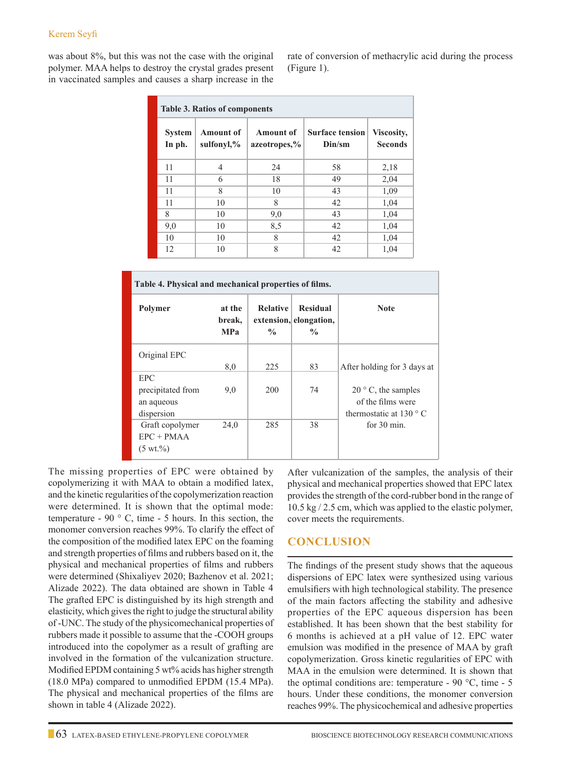was about 8%, but this was not the case with the original polymer. MAA helps to destroy the crystal grades present in vaccinated samples and causes a sharp increase in the rate of conversion of methacrylic acid during the process (Figure 1).

| <b>Table 3. Ratios of components</b> |                                    |                                  |                                  |                              |
|--------------------------------------|------------------------------------|----------------------------------|----------------------------------|------------------------------|
| <b>System</b><br>In ph.              | <b>Amount of</b><br>sulfonyl, $\%$ | <b>Amount of</b><br>azeotropes,% | <b>Surface tension</b><br>Din/sm | Viscosity,<br><b>Seconds</b> |
| 11                                   | 4                                  | 24                               | 58                               | 2,18                         |
| 11                                   | 6                                  | 18                               | 49                               | 2,04                         |
| 11                                   | 8                                  | 10                               | 43                               | 1,09                         |
| 11                                   | 10                                 | 8                                | 42                               | 1,04                         |
| 8                                    | 10                                 | 9,0                              | 43                               | 1,04                         |
| 9,0                                  | 10                                 | 8,5                              | 42                               | 1,04                         |
| 10                                   | 10                                 | 8                                | 42                               | 1,04                         |
| 12                                   | 10                                 | 8                                | 42                               | 1,04                         |

| Table 4. Physical and mechanical properties of films. |                                |                                  |                                                            |                                 |  |
|-------------------------------------------------------|--------------------------------|----------------------------------|------------------------------------------------------------|---------------------------------|--|
| Polymer                                               | at the<br>break,<br><b>MPa</b> | <b>Relative</b><br>$\frac{0}{0}$ | <b>Residual</b><br>extension, elongation,<br>$\frac{0}{0}$ | <b>Note</b>                     |  |
| Original EPC                                          | 8,0                            | 225                              | 83                                                         | After holding for 3 days at     |  |
| <b>EPC</b>                                            |                                |                                  |                                                            |                                 |  |
| precipitated from                                     | 9,0                            | 200                              | 74                                                         | $20^{\circ}$ C, the samples     |  |
| an aqueous                                            |                                |                                  |                                                            | of the films were               |  |
| dispersion                                            |                                |                                  |                                                            | thermostatic at $130^{\circ}$ C |  |
| Graft copolymer                                       | 24,0                           | 285                              | 38                                                         | for $30 \text{ min}$ .          |  |
| $EPC + PMAA$                                          |                                |                                  |                                                            |                                 |  |
| $(5 \text{ wt.}\%)$                                   |                                |                                  |                                                            |                                 |  |

The missing properties of EPC were obtained by copolymerizing it with MAA to obtain a modified latex, and the kinetic regularities of the copolymerization reaction were determined. It is shown that the optimal mode: temperature - 90 $\degree$  C, time - 5 hours. In this section, the monomer conversion reaches 99%. To clarify the effect of the composition of the modified latex EPC on the foaming and strength properties of films and rubbers based on it, the physical and mechanical properties of films and rubbers were determined (Shixaliyev 2020; Bazhenov et al. 2021; Alizade 2022). The data obtained are shown in Table 4 The grafted EPC is distinguished by its high strength and elasticity, which gives the right to judge the structural ability of -UNC. The study of the physicomechanical properties of rubbers made it possible to assume that the -COOH groups introduced into the copolymer as a result of grafting are involved in the formation of the vulcanization structure. Modified EPDM containing 5 wt% acids has higher strength (18.0 MPa) compared to unmodified EPDM (15.4 MPa). The physical and mechanical properties of the films are shown in table 4 (Alizade 2022).

After vulcanization of the samples, the analysis of their physical and mechanical properties showed that EPC latex provides the strength of the cord-rubber bond in the range of 10.5 kg / 2.5 cm, which was applied to the elastic polymer, cover meets the requirements.

# **Conclusion**

The findings of the present study shows that the aqueous dispersions of EPC latex were synthesized using various emulsifiers with high technological stability. The presence of the main factors affecting the stability and adhesive properties of the EPC aqueous dispersion has been established. It has been shown that the best stability for 6 months is achieved at a pH value of 12. EPC water emulsion was modified in the presence of MAA by graft copolymerization. Gross kinetic regularities of EPC with MAA in the emulsion were determined. It is shown that the optimal conditions are: temperature - 90  $^{\circ}$ C, time - 5 hours. Under these conditions, the monomer conversion reaches 99%. The physicochemical and adhesive properties